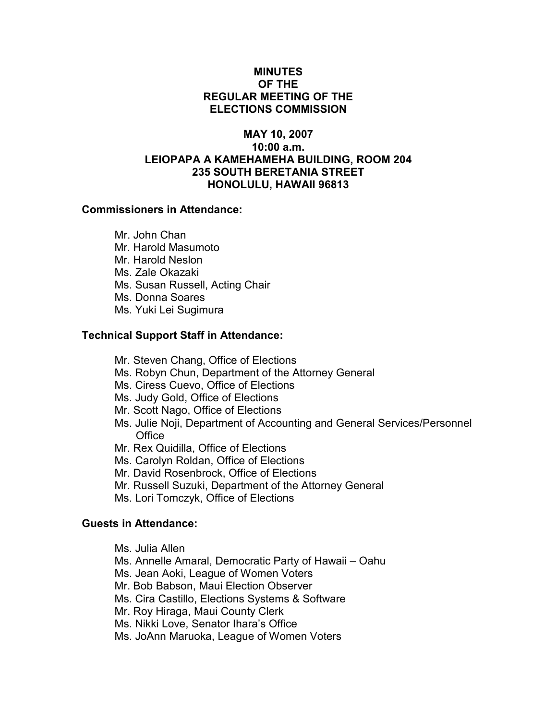## MINUTES OF THE REGULAR MEETING OF THE ELECTIONS COMMISSION

# MAY 10, 2007 10:00 a.m. LEIOPAPA A KAMEHAMEHA BUILDING, ROOM 204 235 SOUTH BERETANIA STREET HONOLULU, HAWAII 96813

## Commissioners in Attendance:

 Mr. John Chan Mr. Harold Masumoto Mr. Harold Neslon Ms. Zale Okazaki Ms. Susan Russell, Acting Chair Ms. Donna Soares Ms. Yuki Lei Sugimura

# Technical Support Staff in Attendance:

Mr. Steven Chang, Office of Elections

- Ms. Robyn Chun, Department of the Attorney General
- Ms. Ciress Cuevo, Office of Elections
- Ms. Judy Gold, Office of Elections
- Mr. Scott Nago, Office of Elections
- Ms. Julie Noji, Department of Accounting and General Services/Personnel **Office**
- Mr. Rex Quidilla, Office of Elections
- Ms. Carolyn Roldan, Office of Elections
- Mr. David Rosenbrock, Office of Elections
- Mr. Russell Suzuki, Department of the Attorney General
- Ms. Lori Tomczyk, Office of Elections

#### Guests in Attendance:

- Ms. Julia Allen
- Ms. Annelle Amaral, Democratic Party of Hawaii Oahu
- Ms. Jean Aoki, League of Women Voters
- Mr. Bob Babson, Maui Election Observer
- Ms. Cira Castillo, Elections Systems & Software
- Mr. Roy Hiraga, Maui County Clerk
- Ms. Nikki Love, Senator Ihara's Office
- Ms. JoAnn Maruoka, League of Women Voters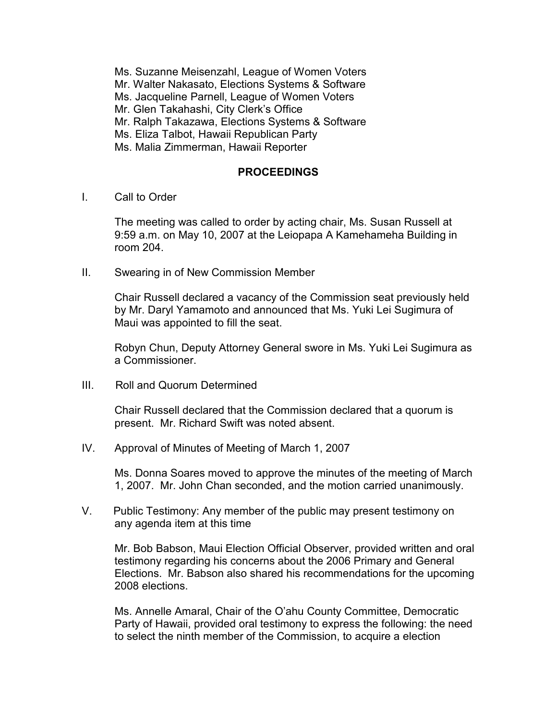- Ms. Suzanne Meisenzahl, League of Women Voters
- Mr. Walter Nakasato, Elections Systems & Software
- Ms. Jacqueline Parnell, League of Women Voters
- Mr. Glen Takahashi, City Clerk's Office
- Mr. Ralph Takazawa, Elections Systems & Software
- Ms. Eliza Talbot, Hawaii Republican Party
- Ms. Malia Zimmerman, Hawaii Reporter

# PROCEEDINGS

I. Call to Order

The meeting was called to order by acting chair, Ms. Susan Russell at 9:59 a.m. on May 10, 2007 at the Leiopapa A Kamehameha Building in room 204.

II. Swearing in of New Commission Member

Chair Russell declared a vacancy of the Commission seat previously held by Mr. Daryl Yamamoto and announced that Ms. Yuki Lei Sugimura of Maui was appointed to fill the seat.

Robyn Chun, Deputy Attorney General swore in Ms. Yuki Lei Sugimura as a Commissioner.

III. Roll and Quorum Determined

Chair Russell declared that the Commission declared that a quorum is present. Mr. Richard Swift was noted absent.

IV. Approval of Minutes of Meeting of March 1, 2007

Ms. Donna Soares moved to approve the minutes of the meeting of March 1, 2007. Mr. John Chan seconded, and the motion carried unanimously.

V. Public Testimony: Any member of the public may present testimony on any agenda item at this time

Mr. Bob Babson, Maui Election Official Observer, provided written and oral testimony regarding his concerns about the 2006 Primary and General Elections. Mr. Babson also shared his recommendations for the upcoming 2008 elections.

Ms. Annelle Amaral, Chair of the O'ahu County Committee, Democratic Party of Hawaii, provided oral testimony to express the following: the need to select the ninth member of the Commission, to acquire a election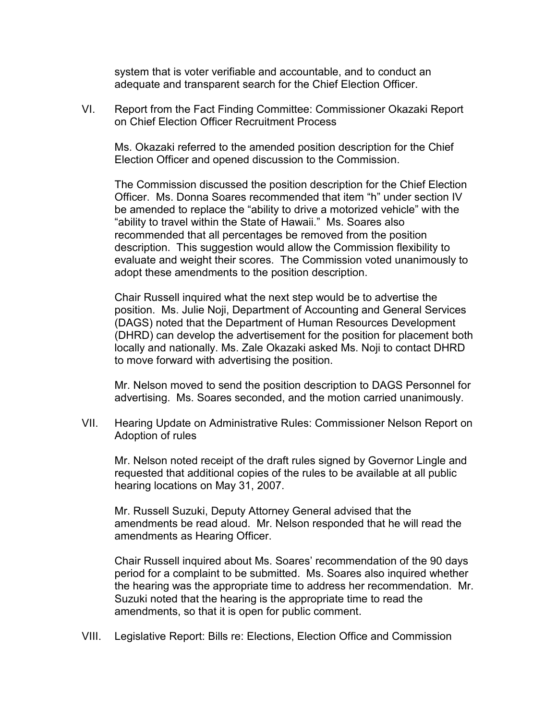system that is voter verifiable and accountable, and to conduct an adequate and transparent search for the Chief Election Officer.

VI. Report from the Fact Finding Committee: Commissioner Okazaki Report on Chief Election Officer Recruitment Process

 Ms. Okazaki referred to the amended position description for the Chief Election Officer and opened discussion to the Commission.

The Commission discussed the position description for the Chief Election Officer. Ms. Donna Soares recommended that item "h" under section IV be amended to replace the "ability to drive a motorized vehicle" with the "ability to travel within the State of Hawaii." Ms. Soares also recommended that all percentages be removed from the position description. This suggestion would allow the Commission flexibility to evaluate and weight their scores. The Commission voted unanimously to adopt these amendments to the position description.

Chair Russell inquired what the next step would be to advertise the position. Ms. Julie Noji, Department of Accounting and General Services (DAGS) noted that the Department of Human Resources Development (DHRD) can develop the advertisement for the position for placement both locally and nationally. Ms. Zale Okazaki asked Ms. Noji to contact DHRD to move forward with advertising the position.

Mr. Nelson moved to send the position description to DAGS Personnel for advertising. Ms. Soares seconded, and the motion carried unanimously.

VII. Hearing Update on Administrative Rules: Commissioner Nelson Report on Adoption of rules

 Mr. Nelson noted receipt of the draft rules signed by Governor Lingle and requested that additional copies of the rules to be available at all public hearing locations on May 31, 2007.

 Mr. Russell Suzuki, Deputy Attorney General advised that the amendments be read aloud. Mr. Nelson responded that he will read the amendments as Hearing Officer.

Chair Russell inquired about Ms. Soares' recommendation of the 90 days period for a complaint to be submitted. Ms. Soares also inquired whether the hearing was the appropriate time to address her recommendation. Mr. Suzuki noted that the hearing is the appropriate time to read the amendments, so that it is open for public comment.

VIII. Legislative Report: Bills re: Elections, Election Office and Commission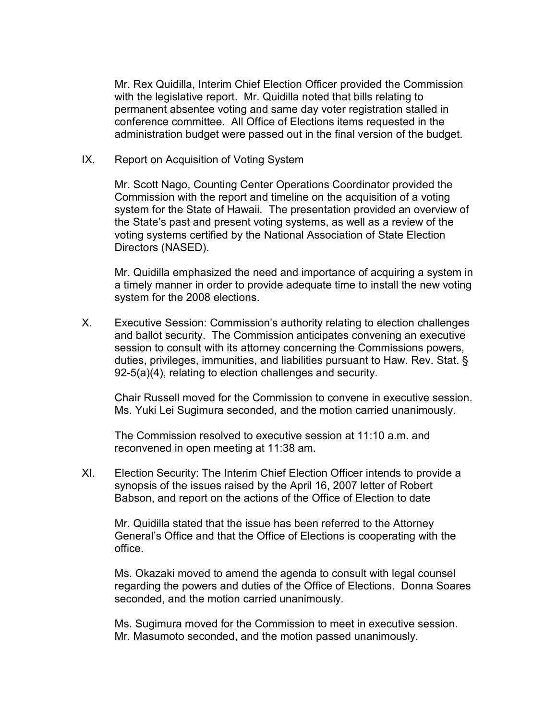Mr. Rex Quidilla, Interim Chief Election Officer provided the Commission with the legislative report. Mr. Quidilla noted that bills relating to permanent absentee voting and same day voter registration stalled in conference committee. All Office of Elections items requested in the administration budget were passed out in the final version of the budget.

IX. Report on Acquisition of Voting System

 Mr. Scott Nago, Counting Center Operations Coordinator provided the Commission with the report and timeline on the acquisition of a voting system for the State of Hawaii. The presentation provided an overview of the State's past and present voting systems, as well as a review of the voting systems certified by the National Association of State Election Directors (NASED).

 Mr. Quidilla emphasized the need and importance of acquiring a system in a timely manner in order to provide adequate time to install the new voting system for the 2008 elections.

X. Executive Session: Commission's authority relating to election challenges and ballot security. The Commission anticipates convening an executive session to consult with its attorney concerning the Commissions powers, duties, privileges, immunities, and liabilities pursuant to Haw. Rev. Stat. § 92-5(a)(4), relating to election challenges and security.

 Chair Russell moved for the Commission to convene in executive session. Ms. Yuki Lei Sugimura seconded, and the motion carried unanimously.

The Commission resolved to executive session at 11:10 a.m. and reconvened in open meeting at 11:38 am.

XI. Election Security: The Interim Chief Election Officer intends to provide a synopsis of the issues raised by the April 16, 2007 letter of Robert Babson, and report on the actions of the Office of Election to date

 Mr. Quidilla stated that the issue has been referred to the Attorney General's Office and that the Office of Elections is cooperating with the office.

 Ms. Okazaki moved to amend the agenda to consult with legal counsel regarding the powers and duties of the Office of Elections. Donna Soares seconded, and the motion carried unanimously.

 Ms. Sugimura moved for the Commission to meet in executive session. Mr. Masumoto seconded, and the motion passed unanimously.